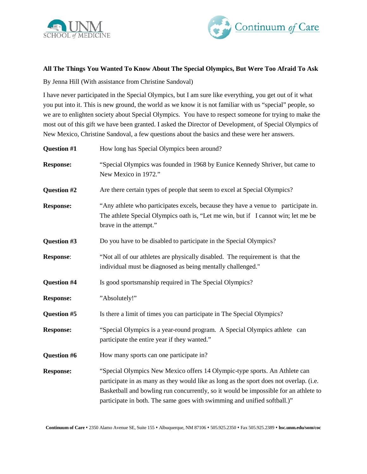



## **All The Things You Wanted To Know About The Special Olympics, But Were Too Afraid To Ask**

By Jenna Hill (With assistance from Christine Sandoval)

I have never participated in the Special Olympics, but I am sure like everything, you get out of it what you put into it. This is new ground, the world as we know it is not familiar with us "special" people, so we are to enlighten society about Special Olympics. You have to respect someone for trying to make the most out of this gift we have been granted. I asked the Director of Development, of Special Olympics of New Mexico, Christine Sandoval, a few questions about the basics and these were her answers.

| <b>Question #1</b> | How long has Special Olympics been around?                                                                                                                                                                                                                                                                                               |
|--------------------|------------------------------------------------------------------------------------------------------------------------------------------------------------------------------------------------------------------------------------------------------------------------------------------------------------------------------------------|
| <b>Response:</b>   | "Special Olympics was founded in 1968 by Eunice Kennedy Shriver, but came to<br>New Mexico in 1972."                                                                                                                                                                                                                                     |
| Question #2        | Are there certain types of people that seem to excel at Special Olympics?                                                                                                                                                                                                                                                                |
| <b>Response:</b>   | "Any athlete who participates excels, because they have a venue to participate in.<br>The athlete Special Olympics oath is, "Let me win, but if I cannot win; let me be<br>brave in the attempt."                                                                                                                                        |
| Question #3        | Do you have to be disabled to participate in the Special Olympics?                                                                                                                                                                                                                                                                       |
| <b>Response:</b>   | "Not all of our athletes are physically disabled. The requirement is that the<br>individual must be diagnosed as being mentally challenged."                                                                                                                                                                                             |
| <b>Question #4</b> | Is good sportsmanship required in The Special Olympics?                                                                                                                                                                                                                                                                                  |
| <b>Response:</b>   | "Absolutely!"                                                                                                                                                                                                                                                                                                                            |
| <b>Question #5</b> | Is there a limit of times you can participate in The Special Olympics?                                                                                                                                                                                                                                                                   |
| <b>Response:</b>   | "Special Olympics is a year-round program. A Special Olympics athlete can<br>participate the entire year if they wanted."                                                                                                                                                                                                                |
| <b>Question #6</b> | How many sports can one participate in?                                                                                                                                                                                                                                                                                                  |
| <b>Response:</b>   | "Special Olympics New Mexico offers 14 Olympic-type sports. An Athlete can<br>participate in as many as they would like as long as the sport does not overlap. (i.e.<br>Basketball and bowling run concurrently, so it would be impossible for an athlete to<br>participate in both. The same goes with swimming and unified softball.)" |